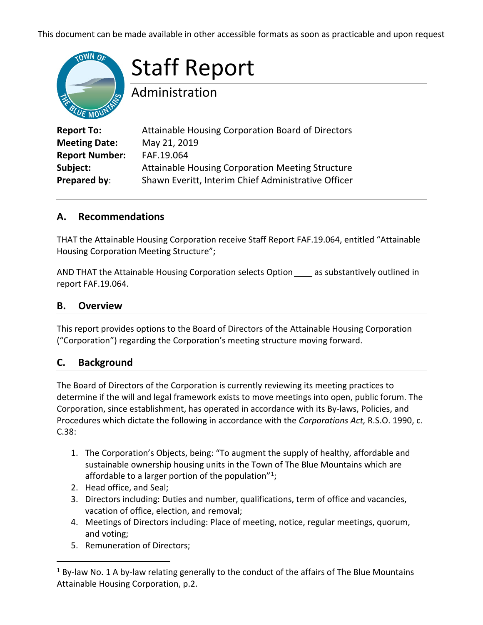This document can be made available in other accessible formats as soon as practicable and upon request



# Staff Report

Administration

| <b>Report To:</b>     | Attainable Housing Corporation Board of Directors       |
|-----------------------|---------------------------------------------------------|
| <b>Meeting Date:</b>  | May 21, 2019                                            |
| <b>Report Number:</b> | FAF.19.064                                              |
| Subject:              | <b>Attainable Housing Corporation Meeting Structure</b> |
| Prepared by:          | Shawn Everitt, Interim Chief Administrative Officer     |

## **A. Recommendations**

THAT the Attainable Housing Corporation receive Staff Report FAF.19.064, entitled "Attainable Housing Corporation Meeting Structure";

AND THAT the Attainable Housing Corporation selects Option \_\_\_\_\_ as substantively outlined in report FAF.19.064.

## **B. Overview**

This report provides options to the Board of Directors of the Attainable Housing Corporation ("Corporation") regarding the Corporation's meeting structure moving forward.

## **C. Background**

The Board of Directors of the Corporation is currently reviewing its meeting practices to determine if the will and legal framework exists to move meetings into open, public forum. The Corporation, since establishment, has operated in accordance with its By-laws, Policies, and Procedures which dictate the following in accordance with the *Corporations Act,* R.S.O. 1990, c. C.38:

- 1. The Corporation's Objects, being: "To augment the supply of healthy, affordable and sustainable ownership housing units in the Town of The Blue Mountains which are affordable to a larger portion of the population"<sup>1</sup>;
- 2. Head office, and Seal;
- 3. Directors including: Duties and number, qualifications, term of office and vacancies, vacation of office, election, and removal;
- 4. Meetings of Directors including: Place of meeting, notice, regular meetings, quorum, and voting;
- 5. Remuneration of Directors;

<span id="page-0-0"></span> $1$  By-law No. 1 A by-law relating generally to the conduct of the affairs of The Blue Mountains Attainable Housing Corporation, p.2.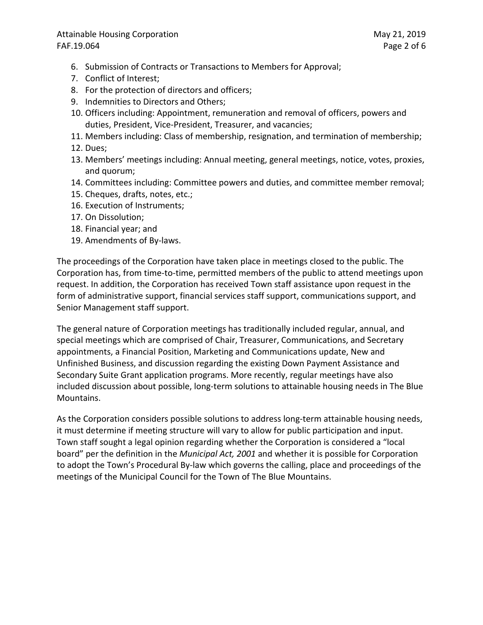### Attainable Housing Corporation May 21, 2019 FAF.19.064 Page 2 of 6

- 6. Submission of Contracts or Transactions to Members for Approval;
- 7. Conflict of Interest;
- 8. For the protection of directors and officers;
- 9. Indemnities to Directors and Others;
- 10. Officers including: Appointment, remuneration and removal of officers, powers and duties, President, Vice-President, Treasurer, and vacancies;
- 11. Members including: Class of membership, resignation, and termination of membership;
- 12. Dues;
- 13. Members' meetings including: Annual meeting, general meetings, notice, votes, proxies, and quorum;
- 14. Committees including: Committee powers and duties, and committee member removal;
- 15. Cheques, drafts, notes, etc.;
- 16. Execution of Instruments;
- 17. On Dissolution;
- 18. Financial year; and
- 19. Amendments of By-laws.

The proceedings of the Corporation have taken place in meetings closed to the public. The Corporation has, from time-to-time, permitted members of the public to attend meetings upon request. In addition, the Corporation has received Town staff assistance upon request in the form of administrative support, financial services staff support, communications support, and Senior Management staff support.

The general nature of Corporation meetings has traditionally included regular, annual, and special meetings which are comprised of Chair, Treasurer, Communications, and Secretary appointments, a Financial Position, Marketing and Communications update, New and Unfinished Business, and discussion regarding the existing Down Payment Assistance and Secondary Suite Grant application programs. More recently, regular meetings have also included discussion about possible, long-term solutions to attainable housing needs in The Blue Mountains.

As the Corporation considers possible solutions to address long-term attainable housing needs, it must determine if meeting structure will vary to allow for public participation and input. Town staff sought a legal opinion regarding whether the Corporation is considered a "local board" per the definition in the *Municipal Act, 2001* and whether it is possible for Corporation to adopt the Town's Procedural By-law which governs the calling, place and proceedings of the meetings of the Municipal Council for the Town of The Blue Mountains.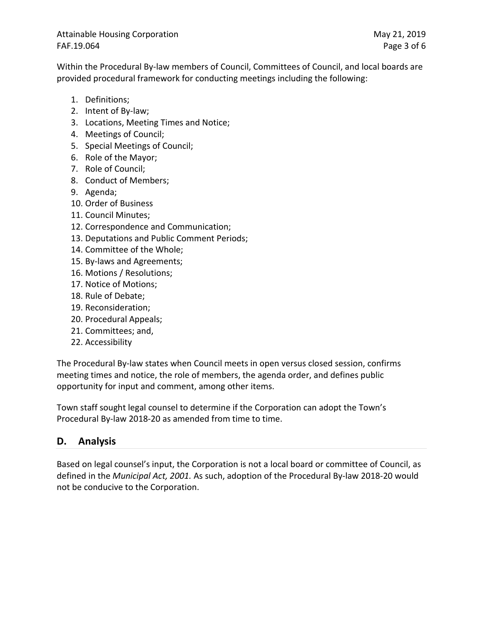Attainable Housing Corporation May 21, 2019 FAF.19.064 Page 3 of 6

Within the Procedural By-law members of Council, Committees of Council, and local boards are provided procedural framework for conducting meetings including the following:

- 1. Definitions;
- 2. Intent of By-law;
- 3. Locations, Meeting Times and Notice;
- 4. Meetings of Council;
- 5. Special Meetings of Council;
- 6. Role of the Mayor;
- 7. Role of Council;
- 8. Conduct of Members;
- 9. Agenda;
- 10. Order of Business
- 11. Council Minutes;
- 12. Correspondence and Communication;
- 13. Deputations and Public Comment Periods;
- 14. Committee of the Whole;
- 15. By-laws and Agreements;
- 16. Motions / Resolutions;
- 17. Notice of Motions;
- 18. Rule of Debate;
- 19. Reconsideration;
- 20. Procedural Appeals;
- 21. Committees; and,
- 22. Accessibility

The Procedural By-law states when Council meets in open versus closed session, confirms meeting times and notice, the role of members, the agenda order, and defines public opportunity for input and comment, among other items.

Town staff sought legal counsel to determine if the Corporation can adopt the Town's Procedural By-law 2018-20 as amended from time to time.

# **D. Analysis**

Based on legal counsel's input, the Corporation is not a local board or committee of Council, as defined in the *Municipal Act, 2001.* As such, adoption of the Procedural By-law 2018-20 would not be conducive to the Corporation.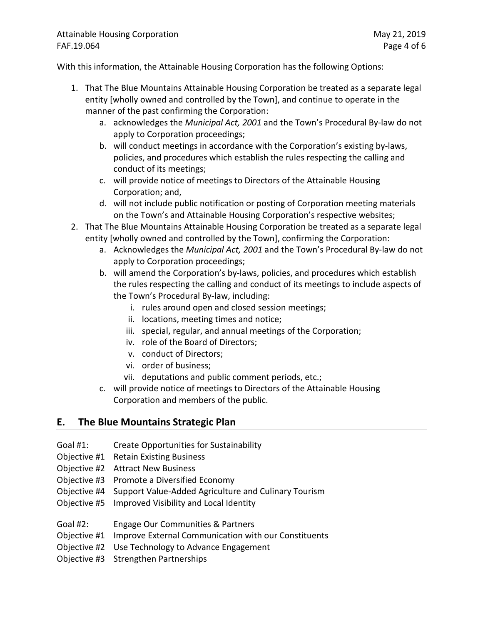## Attainable Housing Corporation May 21, 2019 FAF.19.064 Page 4 of 6

With this information, the Attainable Housing Corporation has the following Options:

- 1. That The Blue Mountains Attainable Housing Corporation be treated as a separate legal entity [wholly owned and controlled by the Town], and continue to operate in the manner of the past confirming the Corporation:
	- a. acknowledges the *Municipal Act, 2001* and the Town's Procedural By-law do not apply to Corporation proceedings;
	- b. will conduct meetings in accordance with the Corporation's existing by-laws, policies, and procedures which establish the rules respecting the calling and conduct of its meetings;
	- c. will provide notice of meetings to Directors of the Attainable Housing Corporation; and,
	- d. will not include public notification or posting of Corporation meeting materials on the Town's and Attainable Housing Corporation's respective websites;
- 2. That The Blue Mountains Attainable Housing Corporation be treated as a separate legal entity [wholly owned and controlled by the Town], confirming the Corporation:
	- a. Acknowledges the *Municipal Act, 2001* and the Town's Procedural By-law do not apply to Corporation proceedings;
	- b. will amend the Corporation's by-laws, policies, and procedures which establish the rules respecting the calling and conduct of its meetings to include aspects of the Town's Procedural By-law, including:
		- i. rules around open and closed session meetings;
		- ii. locations, meeting times and notice;
		- iii. special, regular, and annual meetings of the Corporation;
		- iv. role of the Board of Directors;
		- v. conduct of Directors;
		- vi. order of business;
		- vii. deputations and public comment periods, etc.;
	- c. will provide notice of meetings to Directors of the Attainable Housing Corporation and members of the public.

# **E. The Blue Mountains Strategic Plan**

- Goal #1: Create Opportunities for Sustainability
- Objective #1 Retain Existing Business
- Objective #2 Attract New Business
- Objective #3 Promote a Diversified Economy
- Objective #4 Support Value-Added Agriculture and Culinary Tourism
- Objective #5 Improved Visibility and Local Identity
- Goal #2: Engage Our Communities & Partners
- Objective #1 Improve External Communication with our Constituents
- Objective #2 Use Technology to Advance Engagement
- Objective #3 Strengthen Partnerships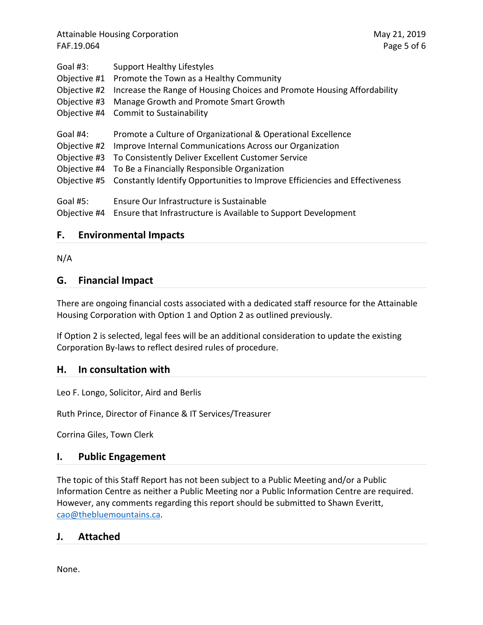Attainable Housing Corporation May 21, 2019 FAF.19.064 Page 5 of 6

| Goal #3:     | <b>Support Healthy Lifestyles</b>                                           |
|--------------|-----------------------------------------------------------------------------|
| Objective #1 | Promote the Town as a Healthy Community                                     |
| Objective #2 | Increase the Range of Housing Choices and Promote Housing Affordability     |
| Objective #3 | Manage Growth and Promote Smart Growth                                      |
| Objective #4 | <b>Commit to Sustainability</b>                                             |
| Goal #4:     | Promote a Culture of Organizational & Operational Excellence                |
| Objective #2 | Improve Internal Communications Across our Organization                     |
| Objective #3 | To Consistently Deliver Excellent Customer Service                          |
| Objective #4 | To Be a Financially Responsible Organization                                |
| Objective #5 | Constantly Identify Opportunities to Improve Efficiencies and Effectiveness |
| Goal #5:     | Ensure Our Infrastructure is Sustainable                                    |
| Objective #4 | Ensure that Infrastructure is Available to Support Development              |

### **F. Environmental Impacts**

N/A

## **G. Financial Impact**

There are ongoing financial costs associated with a dedicated staff resource for the Attainable Housing Corporation with Option 1 and Option 2 as outlined previously.

If Option 2 is selected, legal fees will be an additional consideration to update the existing Corporation By-laws to reflect desired rules of procedure.

### **H. In consultation with**

Leo F. Longo, Solicitor, Aird and Berlis

Ruth Prince, Director of Finance & IT Services/Treasurer

Corrina Giles, Town Clerk

## **I. Public Engagement**

The topic of this Staff Report has not been subject to a Public Meeting and/or a Public Information Centre as neither a Public Meeting nor a Public Information Centre are required. However, any comments regarding this report should be submitted to Shawn Everitt, [cao@thebluemountains.ca.](mailto:cao@thebluemountains.ca)

## **J. Attached**

None.